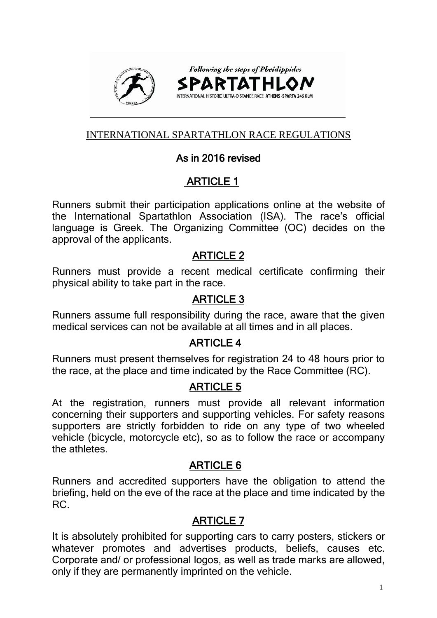

## INTERNATIONAL SPARTATHLON RACE REGULATIONS

## As in 2016 revised

## ARTICLE 1

Runners submit their participation applications online at the website of the International Spartathlon Association (ISA). The race's official language is Greek. The Organizing Committee (OC) decides on the approval of the applicants.

## ARTICLE 2

Runners must provide a recent medical certificate confirming their physical ability to take part in the race.

## ARTICLE 3

Runners assume full responsibility during the race, aware that the given medical services can not be available at all times and in all places.

## ARTICLE 4

Runners must present themselves for registration 24 to 48 hours prior to the race, at the place and time indicated by the Race Committee (RC).

## ARTICLE 5

At the registration, runners must provide all relevant information concerning their supporters and supporting vehicles. For safety reasons supporters are strictly forbidden to ride on any type of two wheeled vehicle (bicycle, motorcycle etc), so as to follow the race or accompany the athletes.

## ARTICLE 6

Runners and accredited supporters have the obligation to attend the briefing, held on the eve of the race at the place and time indicated by the RC.

## ARTICLE 7

It is absolutely prohibited for supporting cars to carry posters, stickers or whatever promotes and advertises products, beliefs, causes etc. Corporate and/ or professional logos, as well as trade marks are allowed, only if they are permanently imprinted on the vehicle.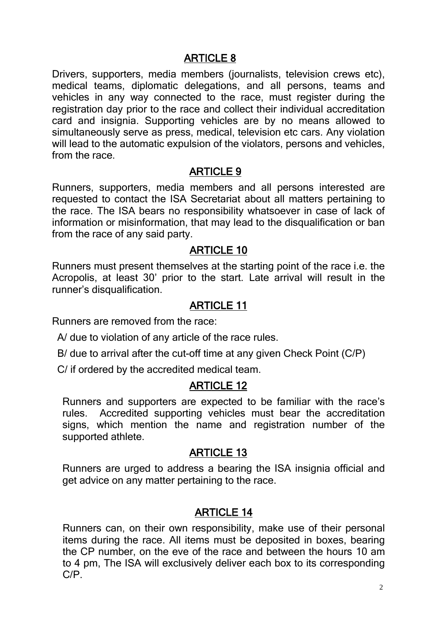Drivers, supporters, media members (journalists, television crews etc), medical teams, diplomatic delegations, and all persons, teams and vehicles in any way connected to the race, must register during the registration day prior to the race and collect their individual accreditation card and insignia. Supporting vehicles are by no means allowed to simultaneously serve as press, medical, television etc cars. Any violation will lead to the automatic expulsion of the violators, persons and vehicles, from the race.

### ARTICLE 9

Runners, supporters, media members and all persons interested are requested to contact the ISA Secretariat about all matters pertaining to the race. The ISA bears no responsibility whatsoever in case of lack of information or misinformation, that may lead to the disqualification or ban from the race of any said party.

### ARTICLE 10

Runners must present themselves at the starting point of the race i.e. the Acropolis, at least 30' prior to the start. Late arrival will result in the runner's disqualification.

## ARTICLE 11

Runners are removed from the race:

A/ due to violation of any article of the race rules.

B/ due to arrival after the cut-off time at any given Check Point (C/P)

C/ if ordered by the accredited medical team.

## ARTICLE 12

Runners and supporters are expected to be familiar with the race's rules. Accredited supporting vehicles must bear the accreditation signs, which mention the name and registration number of the supported athlete.

## ARTICLE 13

Runners are urged to address a bearing the ISA insignia official and get advice on any matter pertaining to the race.

## ARTICLE 14

Runners can, on their own responsibility, make use of their personal items during the race. All items must be deposited in boxes, bearing the CP number, on the eve of the race and between the hours 10 am to 4 pm, The ISA will exclusively deliver each box to its corresponding C/P.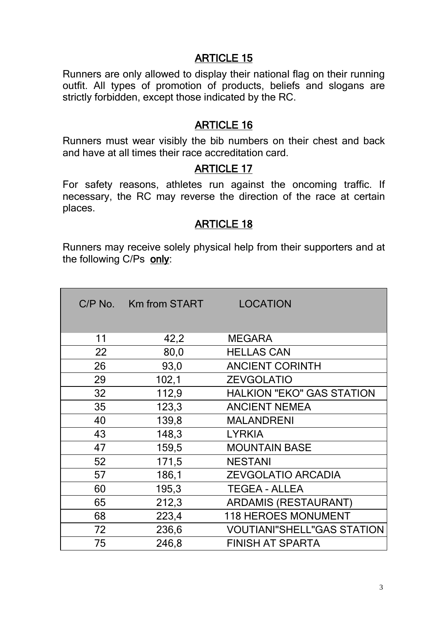Runners are only allowed to display their national flag on their running outfit. All types of promotion of products, beliefs and slogans are strictly forbidden, except those indicated by the RC.

## ARTICLE 16

Runners must wear visibly the bib numbers on their chest and back and have at all times their race accreditation card.

### ARTICLE 17

For safety reasons, athletes run against the oncoming traffic. If necessary, the RC may reverse the direction of the race at certain places.

## ARTICLE 18

Runners may receive solely physical help from their supporters and at the following C/Ps only:

|    | C/P No. Km from START | <b>LOCATION</b>                   |  |
|----|-----------------------|-----------------------------------|--|
| 11 | 42,2                  | <b>MEGARA</b>                     |  |
| 22 | 80,0                  | <b>HELLAS CAN</b>                 |  |
| 26 | 93,0                  | <b>ANCIENT CORINTH</b>            |  |
| 29 | 102,1                 | <b>ZEVGOLATIO</b>                 |  |
| 32 | 112,9                 | <b>HALKION "EKO" GAS STATION</b>  |  |
| 35 | 123,3                 | <b>ANCIENT NEMEA</b>              |  |
| 40 | 139,8                 | <b>MALANDRENI</b>                 |  |
| 43 | 148,3                 | <b>LYRKIA</b>                     |  |
| 47 | 159,5                 | <b>MOUNTAIN BASE</b>              |  |
| 52 | 171,5                 | <b>NESTANI</b>                    |  |
| 57 | 186,1                 | <b>ZEVGOLATIO ARCADIA</b>         |  |
| 60 | 195,3                 | <b>TEGEA - ALLEA</b>              |  |
| 65 | 212,3                 | <b>ARDAMIS (RESTAURANT)</b>       |  |
| 68 | 223,4                 | <b>118 HEROES MONUMENT</b>        |  |
| 72 | 236,6                 | <b>VOUTIANI"SHELL"GAS STATION</b> |  |
| 75 | 246,8                 | <b>FINISH AT SPARTA</b>           |  |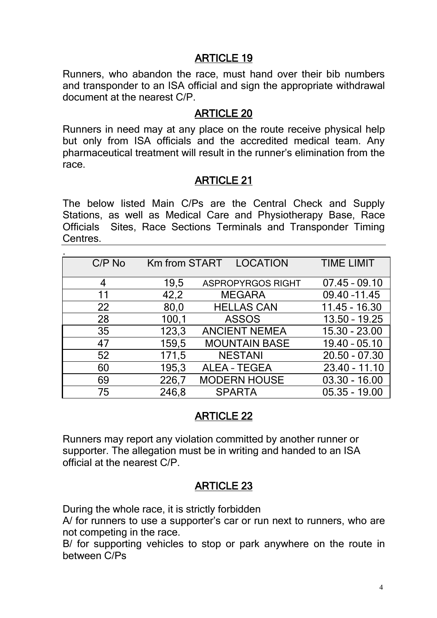Runners, who abandon the race, must hand over their bib numbers and transponder to an ISA official and sign the appropriate withdrawal document at the nearest C/P.

### ARTICLE 20

Runners in need may at any place on the route receive physical help but only from ISA officials and the accredited medical team. Any pharmaceutical treatment will result in the runner's elimination from the race.

### ARTICLE 21

The below listed Main C/Ps are the Central Check and Supply Stations, as well as Medical Care and Physiotherapy Base, Race Officials Sites, Race Sections Terminals and Transponder Timing Centres.

| $C/P$ No |       | Km from START LOCATION   | <b>TIME LIMIT</b> |
|----------|-------|--------------------------|-------------------|
| 4        | 19,5  | <b>ASPROPYRGOS RIGHT</b> | $07.45 - 09.10$   |
| 11       | 42,2  | <b>MEGARA</b>            | 09.40 - 11.45     |
| 22       | 80,0  | <b>HELLAS CAN</b>        | $11.45 - 16.30$   |
| 28       | 100,1 | <b>ASSOS</b>             | $13.50 - 19.25$   |
| 35       | 123,3 | <b>ANCIENT NEMEA</b>     | 15.30 - 23.00     |
| 47       | 159,5 | <b>MOUNTAIN BASE</b>     | $19.40 - 05.10$   |
| 52       | 171,5 | <b>NESTANI</b>           | $20.50 - 07.30$   |
| 60       | 195,3 | <b>ALEA - TEGEA</b>      | $23.40 - 11.10$   |
| 69       | 226,7 | <b>MODERN HOUSE</b>      | $03.30 - 16.00$   |
| 75       | 246,8 | <b>SPARTA</b>            | $05.35 - 19.00$   |

## ARTICLE 22

Runners may report any violation committed by another runner or supporter. The allegation must be in writing and handed to an ISA official at the nearest C/P.

## ARTICLE 23

During the whole race, it is strictly forbidden

A/ for runners to use a supporter's car or run next to runners, who are not competing in the race.

B/ for supporting vehicles to stop or park anywhere on the route in between C/Ps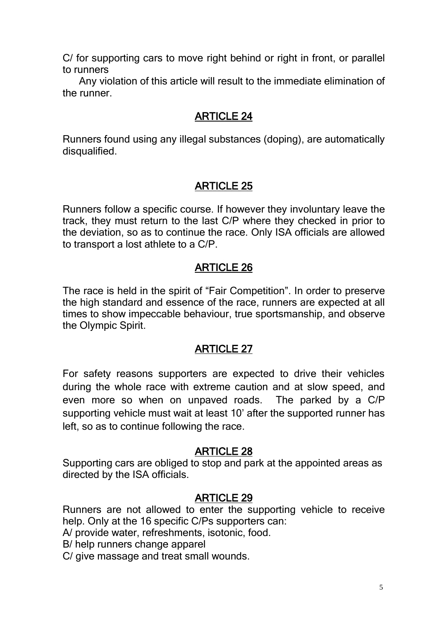C/ for supporting cars to move right behind or right in front, or parallel to runners

 Any violation of this article will result to the immediate elimination of the runner.

## ARTICLE 24

Runners found using any illegal substances (doping), are automatically disqualified.

## ARTICLE 25

Runners follow a specific course. If however they involuntary leave the track, they must return to the last C/P where they checked in prior to the deviation, so as to continue the race. Only ISA officials are allowed to transport a lost athlete to a C/P.

## ARTICLE 26

The race is held in the spirit of "Fair Competition". In order to preserve the high standard and essence of the race, runners are expected at all times to show impeccable behaviour, true sportsmanship, and observe the Olympic Spirit.

## ARTICLE 27

For safety reasons supporters are expected to drive their vehicles during the whole race with extreme caution and at slow speed, and even more so when on unpaved roads. The parked by a C/P supporting vehicle must wait at least 10' after the supported runner has left, so as to continue following the race.

## ARTICLE 28

Supporting cars are obliged to stop and park at the appointed areas as directed by the ISA officials.

## ARTICLE 29

Runners are not allowed to enter the supporting vehicle to receive help. Only at the 16 specific C/Ps supporters can:

A/ provide water, refreshments, isotonic, food.

B/ help runners change apparel

C/ give massage and treat small wounds.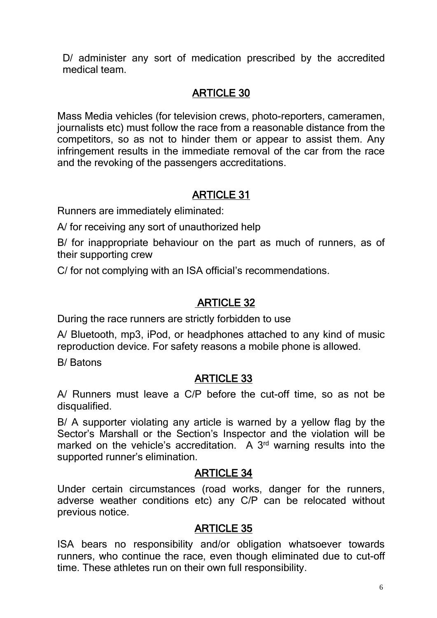D/ administer any sort of medication prescribed by the accredited medical team.

# ARTICLE 30

Mass Media vehicles (for television crews, photo-reporters, cameramen, journalists etc) must follow the race from a reasonable distance from the competitors, so as not to hinder them or appear to assist them. Any infringement results in the immediate removal of the car from the race and the revoking of the passengers accreditations.

# ARTICLE 31

Runners are immediately eliminated:

A/ for receiving any sort of unauthorized help

B/ for inappropriate behaviour on the part as much of runners, as of their supporting crew

C/ for not complying with an ISA official's recommendations.

## ARTICLE 32

During the race runners are strictly forbidden to use

A/ Bluetooth, mp3, iPod, or headphones attached to any kind of music reproduction device. For safety reasons a mobile phone is allowed.

B/ Batons

## ARTICLE 33

A/ Runners must leave a C/P before the cut-off time, so as not be disqualified.

B/ A supporter violating any article is warned by a yellow flag by the Sector's Marshall or the Section's Inspector and the violation will be marked on the vehicle's accreditation. A 3<sup>rd</sup> warning results into the supported runner's elimination.

## ARTICLE 34

Under certain circumstances (road works, danger for the runners, adverse weather conditions etc) any C/P can be relocated without previous notice.

## ARTICLE 35

ISA bears no responsibility and/or obligation whatsoever towards runners, who continue the race, even though eliminated due to cut-off time. These athletes run on their own full responsibility.